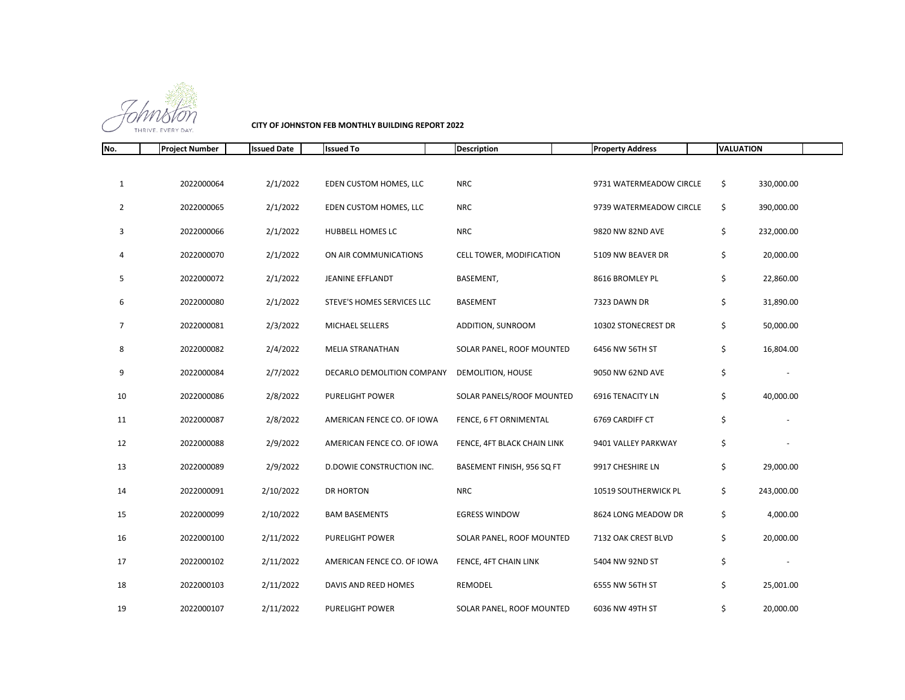

**CITY OF JOHNSTON FEB MONTHLY BUILDING REPORT 2022**

| No.          | <b>Project Number</b> | <b>Issued Date</b> | <b>Issued To</b>           | <b>Description</b>          | <b>Property Address</b> | <b>VALUATION</b> |            |  |
|--------------|-----------------------|--------------------|----------------------------|-----------------------------|-------------------------|------------------|------------|--|
|              |                       |                    |                            |                             |                         |                  |            |  |
|              |                       |                    |                            |                             |                         |                  |            |  |
| $\mathbf{1}$ | 2022000064            | 2/1/2022           | EDEN CUSTOM HOMES, LLC     | <b>NRC</b>                  | 9731 WATERMEADOW CIRCLE | \$               | 330,000.00 |  |
| 2            | 2022000065            | 2/1/2022           | EDEN CUSTOM HOMES, LLC     | <b>NRC</b>                  | 9739 WATERMEADOW CIRCLE | \$               | 390,000.00 |  |
| 3            | 2022000066            | 2/1/2022           | HUBBELL HOMES LC           | <b>NRC</b>                  | 9820 NW 82ND AVE        | \$               | 232,000.00 |  |
|              |                       |                    |                            |                             |                         |                  |            |  |
| 4            | 2022000070            | 2/1/2022           | ON AIR COMMUNICATIONS      | CELL TOWER, MODIFICATION    | 5109 NW BEAVER DR       | \$               | 20,000.00  |  |
| 5            | 2022000072            | 2/1/2022           | JEANINE EFFLANDT           | BASEMENT,                   | 8616 BROMLEY PL         | \$               | 22,860.00  |  |
| 6            | 2022000080            | 2/1/2022           | STEVE'S HOMES SERVICES LLC | <b>BASEMENT</b>             | 7323 DAWN DR            | \$               | 31,890.00  |  |
|              |                       |                    |                            |                             |                         |                  |            |  |
| 7            | 2022000081            | 2/3/2022           | MICHAEL SELLERS            | ADDITION, SUNROOM           | 10302 STONECREST DR     | \$               | 50,000.00  |  |
| 8            | 2022000082            | 2/4/2022           | MELIA STRANATHAN           | SOLAR PANEL, ROOF MOUNTED   | 6456 NW 56TH ST         | \$               | 16,804.00  |  |
| 9            | 2022000084            | 2/7/2022           | DECARLO DEMOLITION COMPANY | DEMOLITION, HOUSE           | 9050 NW 62ND AVE        | \$               |            |  |
|              |                       |                    |                            |                             |                         |                  |            |  |
| 10           | 2022000086            | 2/8/2022           | <b>PURELIGHT POWER</b>     | SOLAR PANELS/ROOF MOUNTED   | <b>6916 TENACITY LN</b> | \$               | 40,000.00  |  |
| 11           | 2022000087            | 2/8/2022           | AMERICAN FENCE CO. OF IOWA | FENCE, 6 FT ORNIMENTAL      | 6769 CARDIFF CT         | \$               |            |  |
| 12           | 2022000088            | 2/9/2022           | AMERICAN FENCE CO. OF IOWA | FENCE, 4FT BLACK CHAIN LINK | 9401 VALLEY PARKWAY     | \$               |            |  |
| 13           | 2022000089            | 2/9/2022           | D.DOWIE CONSTRUCTION INC.  | BASEMENT FINISH, 956 SQ FT  | 9917 CHESHIRE LN        | \$               | 29,000.00  |  |
| 14           | 2022000091            | 2/10/2022          | DR HORTON                  | <b>NRC</b>                  | 10519 SOUTHERWICK PL    | \$               | 243,000.00 |  |
| 15           | 2022000099            | 2/10/2022          | <b>BAM BASEMENTS</b>       | <b>EGRESS WINDOW</b>        | 8624 LONG MEADOW DR     | \$               | 4,000.00   |  |
| 16           | 2022000100            | 2/11/2022          | PURELIGHT POWER            | SOLAR PANEL, ROOF MOUNTED   | 7132 OAK CREST BLVD     | \$               | 20,000.00  |  |
| 17           | 2022000102            | 2/11/2022          | AMERICAN FENCE CO. OF IOWA | FENCE, 4FT CHAIN LINK       | 5404 NW 92ND ST         | \$               |            |  |
| 18           | 2022000103            | 2/11/2022          | DAVIS AND REED HOMES       | REMODEL                     | 6555 NW 56TH ST         | \$               | 25,001.00  |  |
|              |                       |                    |                            |                             |                         |                  |            |  |
| 19           | 2022000107            | 2/11/2022          | <b>PURELIGHT POWER</b>     | SOLAR PANEL, ROOF MOUNTED   | 6036 NW 49TH ST         | \$               | 20,000.00  |  |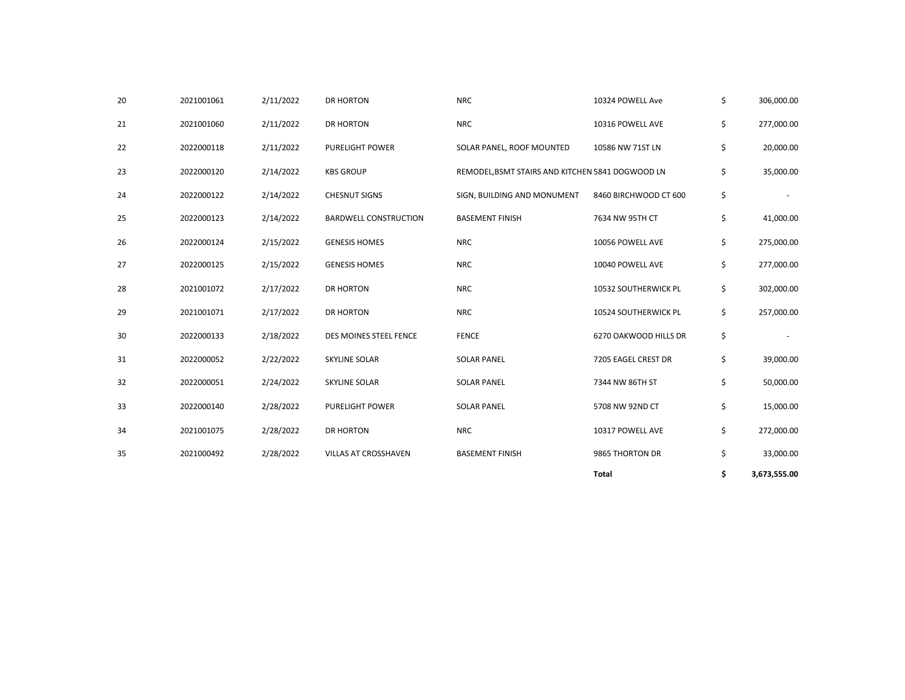| 20 | 2021001061 | 2/11/2022 | DR HORTON                    | <b>NRC</b>                                       | 10324 POWELL Ave      | \$<br>306,000.00   |
|----|------------|-----------|------------------------------|--------------------------------------------------|-----------------------|--------------------|
| 21 | 2021001060 | 2/11/2022 | DR HORTON                    | <b>NRC</b>                                       | 10316 POWELL AVE      | \$<br>277,000.00   |
| 22 | 2022000118 | 2/11/2022 | <b>PURELIGHT POWER</b>       | SOLAR PANEL, ROOF MOUNTED                        | 10586 NW 71ST LN      | \$<br>20,000.00    |
| 23 | 2022000120 | 2/14/2022 | <b>KBS GROUP</b>             | REMODEL, BSMT STAIRS AND KITCHEN 5841 DOGWOOD LN |                       | \$<br>35,000.00    |
| 24 | 2022000122 | 2/14/2022 | <b>CHESNUT SIGNS</b>         | SIGN, BUILDING AND MONUMENT                      | 8460 BIRCHWOOD CT 600 | \$                 |
| 25 | 2022000123 | 2/14/2022 | <b>BARDWELL CONSTRUCTION</b> | <b>BASEMENT FINISH</b>                           | 7634 NW 95TH CT       | \$<br>41,000.00    |
| 26 | 2022000124 | 2/15/2022 | <b>GENESIS HOMES</b>         | <b>NRC</b>                                       | 10056 POWELL AVE      | \$<br>275,000.00   |
| 27 | 2022000125 | 2/15/2022 | <b>GENESIS HOMES</b>         | <b>NRC</b>                                       | 10040 POWELL AVE      | \$<br>277,000.00   |
| 28 | 2021001072 | 2/17/2022 | DR HORTON                    | <b>NRC</b>                                       | 10532 SOUTHERWICK PL  | \$<br>302,000.00   |
| 29 | 2021001071 | 2/17/2022 | DR HORTON                    | <b>NRC</b>                                       | 10524 SOUTHERWICK PL  | \$<br>257,000.00   |
| 30 | 2022000133 | 2/18/2022 | DES MOINES STEEL FENCE       | <b>FENCE</b>                                     | 6270 OAKWOOD HILLS DR | \$                 |
| 31 | 2022000052 | 2/22/2022 | <b>SKYLINE SOLAR</b>         | <b>SOLAR PANEL</b>                               | 7205 EAGEL CREST DR   | \$<br>39,000.00    |
| 32 | 2022000051 | 2/24/2022 | <b>SKYLINE SOLAR</b>         | <b>SOLAR PANEL</b>                               | 7344 NW 86TH ST       | \$<br>50,000.00    |
| 33 | 2022000140 | 2/28/2022 | PURELIGHT POWER              | <b>SOLAR PANEL</b>                               | 5708 NW 92ND CT       | \$<br>15,000.00    |
| 34 | 2021001075 | 2/28/2022 | DR HORTON                    | <b>NRC</b>                                       | 10317 POWELL AVE      | \$<br>272,000.00   |
| 35 | 2021000492 | 2/28/2022 | <b>VILLAS AT CROSSHAVEN</b>  | <b>BASEMENT FINISH</b>                           | 9865 THORTON DR       | \$<br>33,000.00    |
|    |            |           |                              |                                                  | <b>Total</b>          | \$<br>3,673,555.00 |